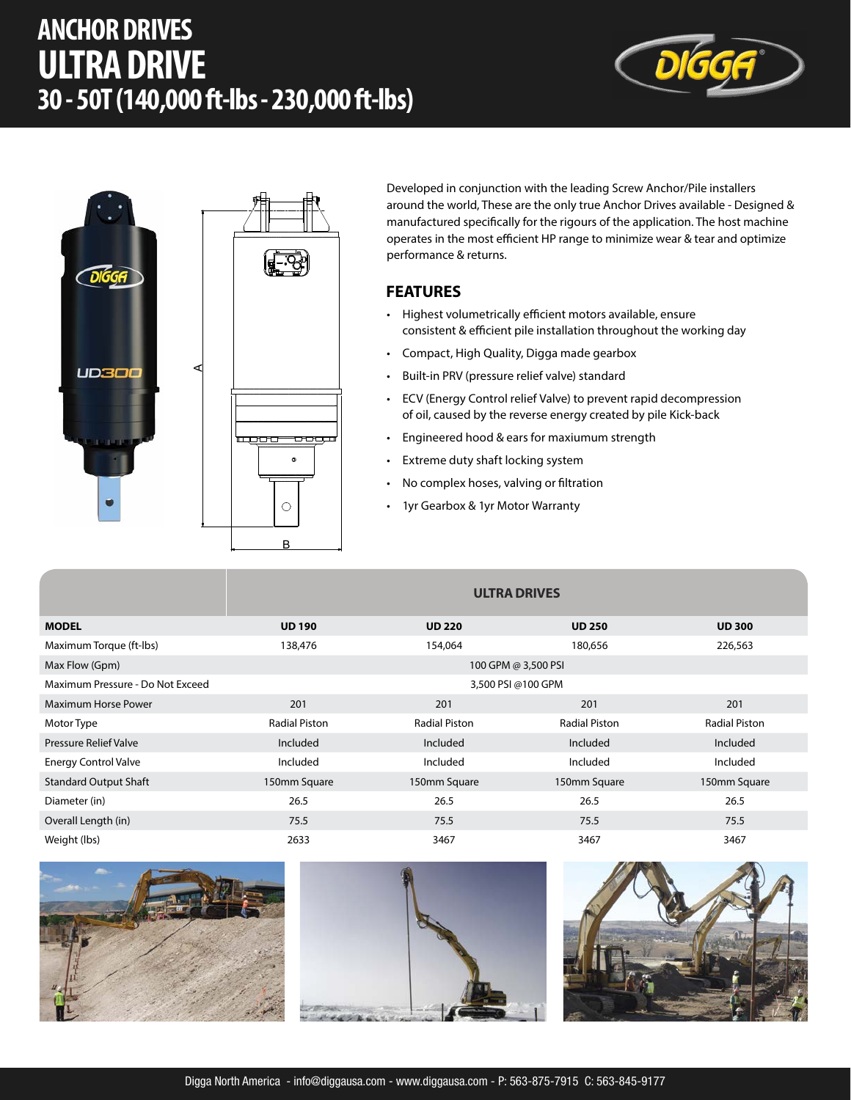# **ANCHOR DRIVES ULTRA DRIVE 30 - 50T (140,000 ft-lbs - 230,000 ft-lbs)**





Developed in conjunction with the leading Screw Anchor/Pile installers around the world, These are the only true Anchor Drives available - Designed & manufactured specifically for the rigours of the application. The host machine operates in the most efficient HP range to minimize wear & tear and optimize performance & returns.

#### **FEATURES**

- Highest volumetrically efficient motors available, ensure consistent & efficient pile installation throughout the working day
- Compact, High Quality, Digga made gearbox
- Built-in PRV (pressure relief valve) standard
- ECV (Energy Control relief Valve) to prevent rapid decompression of oil, caused by the reverse energy created by pile Kick-back
- Engineered hood & ears for maxiumum strength
- Extreme duty shaft locking system
- No complex hoses, valving or filtration
- 1yr Gearbox & 1yr Motor Warranty

|                                  | <b>ULTRA DRIVES</b>  |                      |                      |                      |  |  |
|----------------------------------|----------------------|----------------------|----------------------|----------------------|--|--|
| <b>MODEL</b>                     | <b>UD 190</b>        | <b>UD 220</b>        | <b>UD 250</b>        | <b>UD 300</b>        |  |  |
| Maximum Torque (ft-lbs)          | 138,476              | 154,064              | 180,656              | 226,563              |  |  |
| Max Flow (Gpm)                   | 100 GPM @ 3,500 PSI  |                      |                      |                      |  |  |
| Maximum Pressure - Do Not Exceed | 3,500 PSI @100 GPM   |                      |                      |                      |  |  |
| <b>Maximum Horse Power</b>       | 201                  | 201                  | 201                  | 201                  |  |  |
| Motor Type                       | <b>Radial Piston</b> | <b>Radial Piston</b> | <b>Radial Piston</b> | <b>Radial Piston</b> |  |  |
| <b>Pressure Relief Valve</b>     | Included             | Included             | Included             | Included             |  |  |
| <b>Energy Control Valve</b>      | Included             | Included             | Included             | Included             |  |  |
| <b>Standard Output Shaft</b>     | 150mm Square         | 150mm Square         | 150mm Square         | 150mm Square         |  |  |
| Diameter (in)                    | 26.5                 | 26.5                 | 26.5                 | 26.5                 |  |  |
| Overall Length (in)              | 75.5                 | 75.5                 | 75.5                 | 75.5                 |  |  |
| Weight (lbs)                     | 2633                 | 3467                 | 3467                 | 3467                 |  |  |





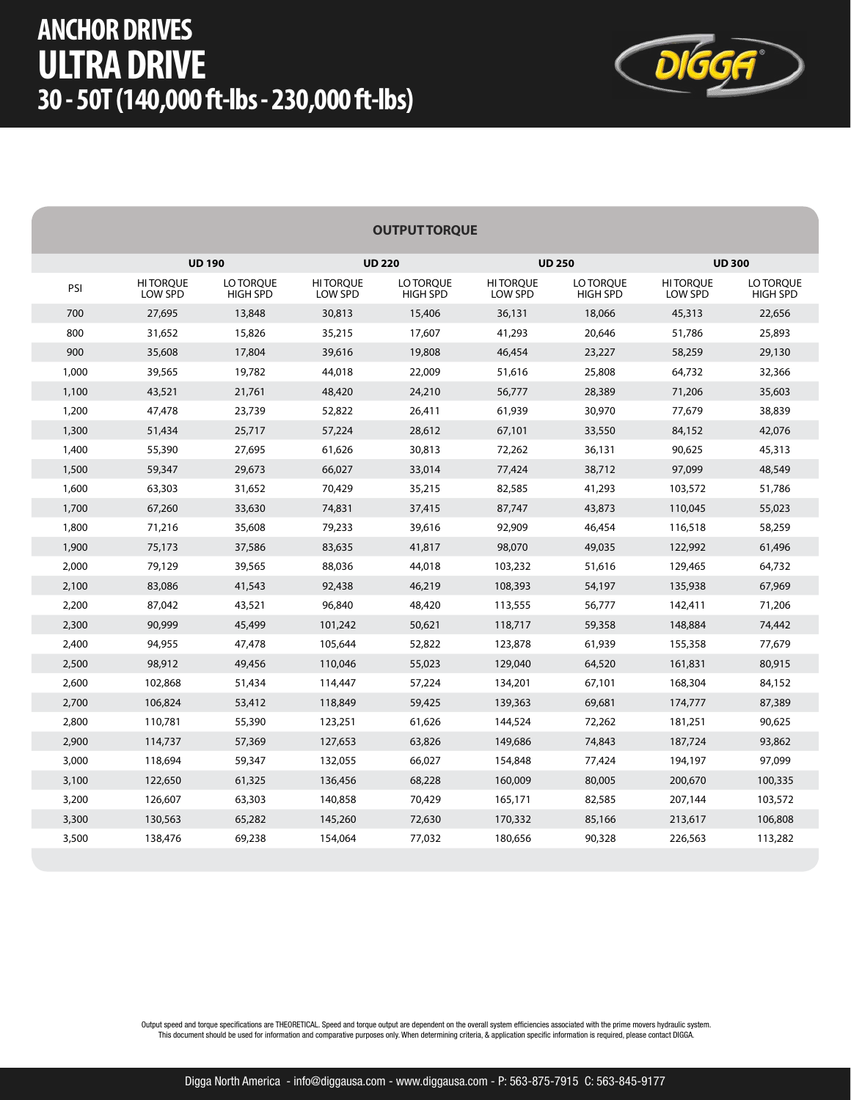## **ANCHOR DRIVES ULTRA DRIVE 30 - 50T (140,000 ft-lbs - 230,000 ft-lbs)**



|  |  |  | <b>OUTPUT TORQUE</b> |  |
|--|--|--|----------------------|--|
|--|--|--|----------------------|--|

|       |                            | <b>UD 190</b>                |                            | <b>UD 220</b>                |                            | <b>UD 250</b>                |                            | <b>UD 300</b>                |
|-------|----------------------------|------------------------------|----------------------------|------------------------------|----------------------------|------------------------------|----------------------------|------------------------------|
| PSI   | <b>HITORQUE</b><br>LOW SPD | LO TORQUE<br><b>HIGH SPD</b> | <b>HITORQUE</b><br>LOW SPD | LO TORQUE<br><b>HIGH SPD</b> | <b>HITORQUE</b><br>LOW SPD | LO TORQUE<br><b>HIGH SPD</b> | <b>HITORQUE</b><br>LOW SPD | LO TORQUE<br><b>HIGH SPD</b> |
| 700   | 27,695                     | 13,848                       | 30,813                     | 15,406                       | 36,131                     | 18,066                       | 45,313                     | 22,656                       |
| 800   | 31,652                     | 15,826                       | 35,215                     | 17,607                       | 41,293                     | 20,646                       | 51,786                     | 25,893                       |
| 900   | 35,608                     | 17,804                       | 39,616                     | 19,808                       | 46,454                     | 23,227                       | 58,259                     | 29,130                       |
| 1,000 | 39,565                     | 19,782                       | 44,018                     | 22,009                       | 51,616                     | 25,808                       | 64,732                     | 32,366                       |
| 1,100 | 43,521                     | 21,761                       | 48,420                     | 24,210                       | 56,777                     | 28,389                       | 71,206                     | 35,603                       |
| 1,200 | 47,478                     | 23,739                       | 52,822                     | 26,411                       | 61,939                     | 30,970                       | 77,679                     | 38,839                       |
| 1,300 | 51,434                     | 25,717                       | 57,224                     | 28,612                       | 67,101                     | 33,550                       | 84,152                     | 42,076                       |
| 1,400 | 55,390                     | 27,695                       | 61,626                     | 30,813                       | 72,262                     | 36,131                       | 90,625                     | 45,313                       |
| 1,500 | 59,347                     | 29,673                       | 66,027                     | 33,014                       | 77,424                     | 38,712                       | 97,099                     | 48,549                       |
| 1,600 | 63,303                     | 31,652                       | 70,429                     | 35,215                       | 82,585                     | 41,293                       | 103,572                    | 51,786                       |
| 1,700 | 67,260                     | 33,630                       | 74,831                     | 37,415                       | 87,747                     | 43,873                       | 110,045                    | 55,023                       |
| 1,800 | 71,216                     | 35,608                       | 79,233                     | 39,616                       | 92,909                     | 46,454                       | 116,518                    | 58,259                       |
| 1,900 | 75,173                     | 37,586                       | 83,635                     | 41,817                       | 98,070                     | 49,035                       | 122,992                    | 61,496                       |
| 2,000 | 79,129                     | 39,565                       | 88,036                     | 44,018                       | 103,232                    | 51,616                       | 129,465                    | 64,732                       |
| 2,100 | 83,086                     | 41,543                       | 92,438                     | 46,219                       | 108,393                    | 54,197                       | 135,938                    | 67,969                       |
| 2,200 | 87,042                     | 43,521                       | 96,840                     | 48,420                       | 113,555                    | 56,777                       | 142,411                    | 71,206                       |
| 2,300 | 90,999                     | 45,499                       | 101,242                    | 50,621                       | 118,717                    | 59,358                       | 148,884                    | 74,442                       |
| 2,400 | 94,955                     | 47,478                       | 105,644                    | 52,822                       | 123,878                    | 61,939                       | 155,358                    | 77,679                       |
| 2,500 | 98,912                     | 49,456                       | 110,046                    | 55,023                       | 129,040                    | 64,520                       | 161,831                    | 80,915                       |
| 2,600 | 102,868                    | 51,434                       | 114,447                    | 57,224                       | 134,201                    | 67,101                       | 168,304                    | 84,152                       |
| 2,700 | 106,824                    | 53,412                       | 118,849                    | 59,425                       | 139,363                    | 69,681                       | 174,777                    | 87,389                       |
| 2,800 | 110,781                    | 55,390                       | 123,251                    | 61,626                       | 144,524                    | 72,262                       | 181,251                    | 90,625                       |
| 2,900 | 114,737                    | 57,369                       | 127,653                    | 63,826                       | 149,686                    | 74,843                       | 187,724                    | 93,862                       |
| 3,000 | 118,694                    | 59,347                       | 132,055                    | 66,027                       | 154,848                    | 77,424                       | 194,197                    | 97.099                       |
| 3,100 | 122,650                    | 61,325                       | 136,456                    | 68,228                       | 160,009                    | 80,005                       | 200,670                    | 100,335                      |
| 3,200 | 126,607                    | 63,303                       | 140,858                    | 70,429                       | 165,171                    | 82,585                       | 207,144                    | 103,572                      |
| 3,300 | 130,563                    | 65,282                       | 145,260                    | 72,630                       | 170,332                    | 85,166                       | 213,617                    | 106,808                      |
| 3,500 | 138,476                    | 69,238                       | 154,064                    | 77,032                       | 180,656                    | 90,328                       | 226,563                    | 113,282                      |
|       |                            |                              |                            |                              |                            |                              |                            |                              |

.0utput speed and torque specifications are THEORETICAL. Speed and torque output are dependent on the overall system efficiencies associated with the prime movers hydraulic system.<br>This document should be used for informat